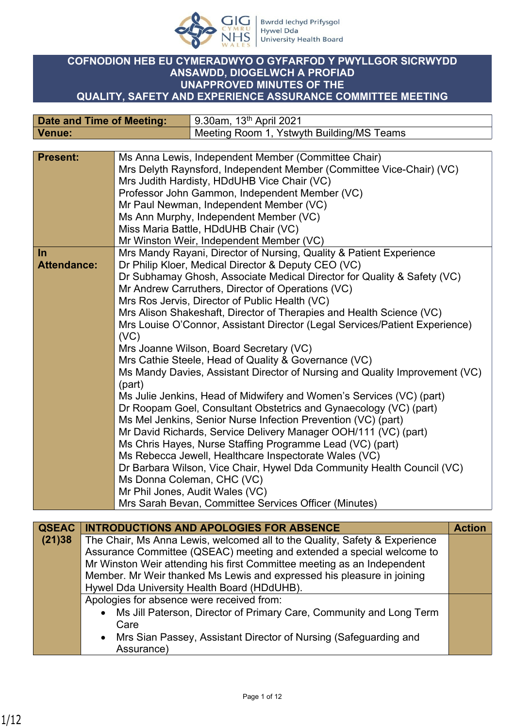

## **COFNODION HEB EU CYMERADWYO O GYFARFOD Y PWYLLGOR SICRWYDD ANSAWDD, DIOGELWCH A PROFIAD UNAPPROVED MINUTES OF THE QUALITY, SAFETY AND EXPERIENCE ASSURANCE COMMITTEE MEETING**

| <b>Date and Time of Meeting:</b> |                                                           | 9.30am, 13 <sup>th</sup> April 2021                                         |
|----------------------------------|-----------------------------------------------------------|-----------------------------------------------------------------------------|
| <b>Venue:</b>                    |                                                           | Meeting Room 1, Ystwyth Building/MS Teams                                   |
|                                  |                                                           |                                                                             |
| <b>Present:</b>                  |                                                           | Ms Anna Lewis, Independent Member (Committee Chair)                         |
|                                  |                                                           | Mrs Delyth Raynsford, Independent Member (Committee Vice-Chair) (VC)        |
|                                  |                                                           | Mrs Judith Hardisty, HDdUHB Vice Chair (VC)                                 |
|                                  |                                                           | Professor John Gammon, Independent Member (VC)                              |
|                                  |                                                           | Mr Paul Newman, Independent Member (VC)                                     |
|                                  |                                                           | Ms Ann Murphy, Independent Member (VC)                                      |
|                                  |                                                           | Miss Maria Battle, HDdUHB Chair (VC)                                        |
|                                  |                                                           | Mr Winston Weir, Independent Member (VC)                                    |
| $\ln$                            |                                                           | Mrs Mandy Rayani, Director of Nursing, Quality & Patient Experience         |
| <b>Attendance:</b>               |                                                           | Dr Philip Kloer, Medical Director & Deputy CEO (VC)                         |
|                                  |                                                           | Dr Subhamay Ghosh, Associate Medical Director for Quality & Safety (VC)     |
|                                  |                                                           | Mr Andrew Carruthers, Director of Operations (VC)                           |
|                                  |                                                           | Mrs Ros Jervis, Director of Public Health (VC)                              |
|                                  |                                                           | Mrs Alison Shakeshaft, Director of Therapies and Health Science (VC)        |
|                                  | (VC)                                                      | Mrs Louise O'Connor, Assistant Director (Legal Services/Patient Experience) |
|                                  |                                                           | Mrs Joanne Wilson, Board Secretary (VC)                                     |
|                                  |                                                           | Mrs Cathie Steele, Head of Quality & Governance (VC)                        |
|                                  |                                                           | Ms Mandy Davies, Assistant Director of Nursing and Quality Improvement (VC) |
|                                  | (part)                                                    |                                                                             |
|                                  |                                                           | Ms Julie Jenkins, Head of Midwifery and Women's Services (VC) (part)        |
|                                  |                                                           | Dr Roopam Goel, Consultant Obstetrics and Gynaecology (VC) (part)           |
|                                  |                                                           | Ms Mel Jenkins, Senior Nurse Infection Prevention (VC) (part)               |
|                                  |                                                           | Mr David Richards, Service Delivery Manager OOH/111 (VC) (part)             |
|                                  | Ms Chris Hayes, Nurse Staffing Programme Lead (VC) (part) |                                                                             |
|                                  | Ms Rebecca Jewell, Healthcare Inspectorate Wales (VC)     |                                                                             |
|                                  |                                                           | Dr Barbara Wilson, Vice Chair, Hywel Dda Community Health Council (VC)      |
|                                  |                                                           | Ms Donna Coleman, CHC (VC)                                                  |
|                                  |                                                           | Mr Phil Jones, Audit Wales (VC)                                             |
|                                  |                                                           | Mrs Sarah Bevan, Committee Services Officer (Minutes)                       |

| <b>QSEAC</b> | <b>INTRODUCTIONS AND APOLOGIES FOR ABSENCE</b>                             | <b>Action</b> |
|--------------|----------------------------------------------------------------------------|---------------|
| (21)38       | The Chair, Ms Anna Lewis, welcomed all to the Quality, Safety & Experience |               |
|              | Assurance Committee (QSEAC) meeting and extended a special welcome to      |               |
|              | Mr Winston Weir attending his first Committee meeting as an Independent    |               |
|              | Member. Mr Weir thanked Ms Lewis and expressed his pleasure in joining     |               |
|              | Hywel Dda University Health Board (HDdUHB).                                |               |
|              | Apologies for absence were received from:                                  |               |
|              | • Ms Jill Paterson, Director of Primary Care, Community and Long Term      |               |
|              | Care                                                                       |               |
|              | • Mrs Sian Passey, Assistant Director of Nursing (Safeguarding and         |               |
|              | Assurance)                                                                 |               |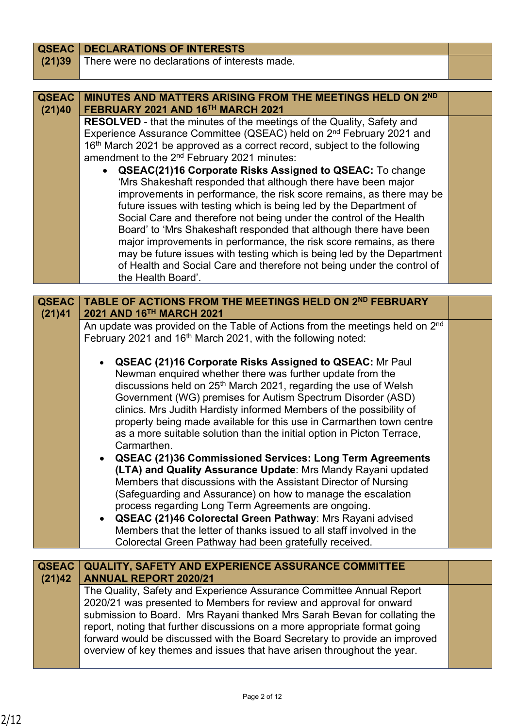| <b>QSEAC</b> | <b>DECLARATIONS OF INTERESTS</b>                                                                                                                 |  |
|--------------|--------------------------------------------------------------------------------------------------------------------------------------------------|--|
| (21)39       | There were no declarations of interests made.                                                                                                    |  |
|              |                                                                                                                                                  |  |
|              |                                                                                                                                                  |  |
| <b>QSEAC</b> | MINUTES AND MATTERS ARISING FROM THE MEETINGS HELD ON 2ND                                                                                        |  |
| (21)40       | FEBRUARY 2021 AND 16TH MARCH 2021<br><b>RESOLVED</b> - that the minutes of the meetings of the Quality, Safety and                               |  |
|              | Experience Assurance Committee (QSEAC) held on 2 <sup>nd</sup> February 2021 and                                                                 |  |
|              | 16th March 2021 be approved as a correct record, subject to the following                                                                        |  |
|              | amendment to the 2 <sup>nd</sup> February 2021 minutes:                                                                                          |  |
|              | <b>QSEAC(21)16 Corporate Risks Assigned to QSEAC:</b> To change                                                                                  |  |
|              | 'Mrs Shakeshaft responded that although there have been major                                                                                    |  |
|              | improvements in performance, the risk score remains, as there may be                                                                             |  |
|              | future issues with testing which is being led by the Department of                                                                               |  |
|              | Social Care and therefore not being under the control of the Health                                                                              |  |
|              | Board' to 'Mrs Shakeshaft responded that although there have been<br>major improvements in performance, the risk score remains, as there         |  |
|              | may be future issues with testing which is being led by the Department                                                                           |  |
|              | of Health and Social Care and therefore not being under the control of                                                                           |  |
|              | the Health Board'.                                                                                                                               |  |
|              |                                                                                                                                                  |  |
| <b>QSEAC</b> | TABLE OF ACTIONS FROM THE MEETINGS HELD ON 2ND FEBRUARY                                                                                          |  |
| (21)41       | 2021 AND 16TH MARCH 2021                                                                                                                         |  |
|              | An update was provided on the Table of Actions from the meetings held on 2 <sup>nd</sup>                                                         |  |
|              | February 2021 and 16 <sup>th</sup> March 2021, with the following noted:                                                                         |  |
|              | <b>QSEAC (21)16 Corporate Risks Assigned to QSEAC: Mr Paul</b>                                                                                   |  |
|              | Newman enquired whether there was further update from the                                                                                        |  |
|              | discussions held on 25 <sup>th</sup> March 2021, regarding the use of Welsh                                                                      |  |
|              | Government (WG) premises for Autism Spectrum Disorder (ASD)                                                                                      |  |
|              | clinics. Mrs Judith Hardisty informed Members of the possibility of                                                                              |  |
|              | property being made available for this use in Carmarthen town centre                                                                             |  |
|              | as a more suitable solution than the initial option in Picton Terrace,                                                                           |  |
|              | Carmarthen.                                                                                                                                      |  |
|              | <b>QSEAC (21)36 Commissioned Services: Long Term Agreements</b>                                                                                  |  |
|              | (LTA) and Quality Assurance Update: Mrs Mandy Rayani updated                                                                                     |  |
|              | Members that discussions with the Assistant Director of Nursing<br>(Safeguarding and Assurance) on how to manage the escalation                  |  |
|              | process regarding Long Term Agreements are ongoing.                                                                                              |  |
|              | QSEAC (21)46 Colorectal Green Pathway: Mrs Rayani advised                                                                                        |  |
|              | Members that the letter of thanks issued to all staff involved in the                                                                            |  |
|              | Colorectal Green Pathway had been gratefully received.                                                                                           |  |
|              |                                                                                                                                                  |  |
| <b>QSEAC</b> | QUALITY, SAFETY AND EXPERIENCE ASSURANCE COMMITTEE                                                                                               |  |
| (21)42       | <b>ANNUAL REPORT 2020/21</b>                                                                                                                     |  |
|              | The Quality, Safety and Experience Assurance Committee Annual Report                                                                             |  |
|              | 2020/21 was presented to Members for review and approval for onward<br>submission to Board. Mrs Rayani thanked Mrs Sarah Bevan for collating the |  |
|              | report, noting that further discussions on a more appropriate format going                                                                       |  |

forward would be discussed with the Board Secretary to provide an improved overview of key themes and issues that have arisen throughout the year.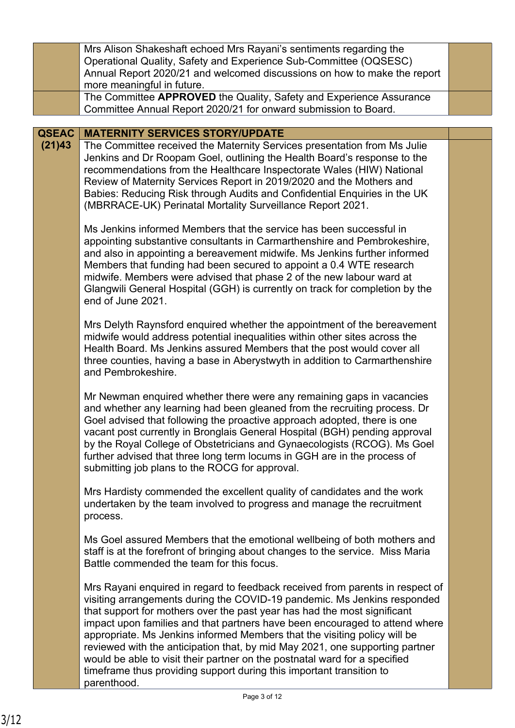|              | Mrs Alison Shakeshaft echoed Mrs Rayani's sentiments regarding the<br>Operational Quality, Safety and Experience Sub-Committee (OQSESC)                                                                                                                                                                                                                                                                                                                                                                                                                                                                                                                |  |
|--------------|--------------------------------------------------------------------------------------------------------------------------------------------------------------------------------------------------------------------------------------------------------------------------------------------------------------------------------------------------------------------------------------------------------------------------------------------------------------------------------------------------------------------------------------------------------------------------------------------------------------------------------------------------------|--|
|              | Annual Report 2020/21 and welcomed discussions on how to make the report                                                                                                                                                                                                                                                                                                                                                                                                                                                                                                                                                                               |  |
|              | more meaningful in future.                                                                                                                                                                                                                                                                                                                                                                                                                                                                                                                                                                                                                             |  |
|              | The Committee APPROVED the Quality, Safety and Experience Assurance<br>Committee Annual Report 2020/21 for onward submission to Board.                                                                                                                                                                                                                                                                                                                                                                                                                                                                                                                 |  |
|              |                                                                                                                                                                                                                                                                                                                                                                                                                                                                                                                                                                                                                                                        |  |
| <b>QSEAC</b> | <b>MATERNITY SERVICES STORY/UPDATE</b>                                                                                                                                                                                                                                                                                                                                                                                                                                                                                                                                                                                                                 |  |
| (21)43       | The Committee received the Maternity Services presentation from Ms Julie<br>Jenkins and Dr Roopam Goel, outlining the Health Board's response to the<br>recommendations from the Healthcare Inspectorate Wales (HIW) National<br>Review of Maternity Services Report in 2019/2020 and the Mothers and<br>Babies: Reducing Risk through Audits and Confidential Enquiries in the UK<br>(MBRRACE-UK) Perinatal Mortality Surveillance Report 2021.                                                                                                                                                                                                       |  |
|              | Ms Jenkins informed Members that the service has been successful in<br>appointing substantive consultants in Carmarthenshire and Pembrokeshire,<br>and also in appointing a bereavement midwife. Ms Jenkins further informed<br>Members that funding had been secured to appoint a 0.4 WTE research<br>midwife. Members were advised that phase 2 of the new labour ward at<br>Glangwili General Hospital (GGH) is currently on track for completion by the<br>end of June 2021.                                                                                                                                                                       |  |
|              | Mrs Delyth Raynsford enquired whether the appointment of the bereavement<br>midwife would address potential inequalities within other sites across the<br>Health Board. Ms Jenkins assured Members that the post would cover all<br>three counties, having a base in Aberystwyth in addition to Carmarthenshire<br>and Pembrokeshire.                                                                                                                                                                                                                                                                                                                  |  |
|              | Mr Newman enquired whether there were any remaining gaps in vacancies<br>and whether any learning had been gleaned from the recruiting process. Dr<br>Goel advised that following the proactive approach adopted, there is one<br>vacant post currently in Bronglais General Hospital (BGH) pending approval<br>by the Royal College of Obstetricians and Gynaecologists (RCOG). Ms Goel<br>further advised that three long term locums in GGH are in the process of<br>submitting job plans to the ROCG for approval.                                                                                                                                 |  |
|              | Mrs Hardisty commended the excellent quality of candidates and the work<br>undertaken by the team involved to progress and manage the recruitment<br>process.                                                                                                                                                                                                                                                                                                                                                                                                                                                                                          |  |
|              | Ms Goel assured Members that the emotional wellbeing of both mothers and<br>staff is at the forefront of bringing about changes to the service. Miss Maria<br>Battle commended the team for this focus.                                                                                                                                                                                                                                                                                                                                                                                                                                                |  |
|              | Mrs Rayani enquired in regard to feedback received from parents in respect of<br>visiting arrangements during the COVID-19 pandemic. Ms Jenkins responded<br>that support for mothers over the past year has had the most significant<br>impact upon families and that partners have been encouraged to attend where<br>appropriate. Ms Jenkins informed Members that the visiting policy will be<br>reviewed with the anticipation that, by mid May 2021, one supporting partner<br>would be able to visit their partner on the postnatal ward for a specified<br>timeframe thus providing support during this important transition to<br>parenthood. |  |
|              | $D = 25.2$                                                                                                                                                                                                                                                                                                                                                                                                                                                                                                                                                                                                                                             |  |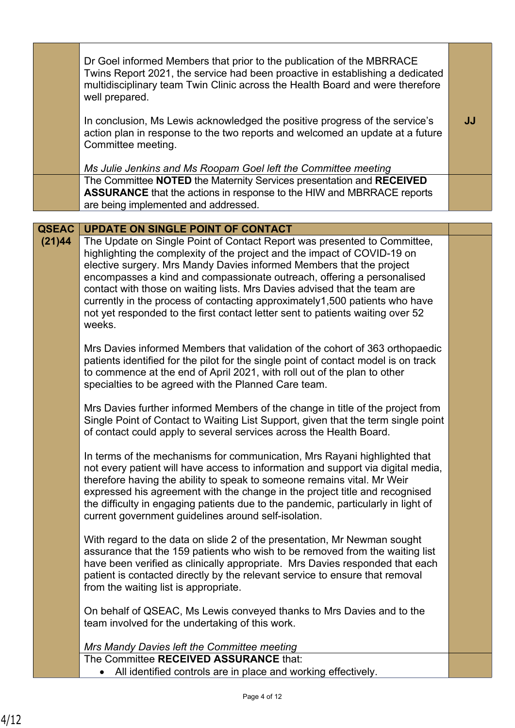|                        | Dr Goel informed Members that prior to the publication of the MBRRACE<br>Twins Report 2021, the service had been proactive in establishing a dedicated<br>multidisciplinary team Twin Clinic across the Health Board and were therefore<br>well prepared.                                                                                                                                                                                                                                                                                                                                                  |    |
|------------------------|------------------------------------------------------------------------------------------------------------------------------------------------------------------------------------------------------------------------------------------------------------------------------------------------------------------------------------------------------------------------------------------------------------------------------------------------------------------------------------------------------------------------------------------------------------------------------------------------------------|----|
|                        | In conclusion, Ms Lewis acknowledged the positive progress of the service's<br>action plan in response to the two reports and welcomed an update at a future<br>Committee meeting.                                                                                                                                                                                                                                                                                                                                                                                                                         | JJ |
|                        | Ms Julie Jenkins and Ms Roopam Goel left the Committee meeting                                                                                                                                                                                                                                                                                                                                                                                                                                                                                                                                             |    |
|                        | The Committee NOTED the Maternity Services presentation and RECEIVED<br><b>ASSURANCE</b> that the actions in response to the HIW and MBRRACE reports<br>are being implemented and addressed.                                                                                                                                                                                                                                                                                                                                                                                                               |    |
|                        |                                                                                                                                                                                                                                                                                                                                                                                                                                                                                                                                                                                                            |    |
| <b>QSEAC</b><br>(21)44 | <b>UPDATE ON SINGLE POINT OF CONTACT</b><br>The Update on Single Point of Contact Report was presented to Committee,<br>highlighting the complexity of the project and the impact of COVID-19 on<br>elective surgery. Mrs Mandy Davies informed Members that the project<br>encompasses a kind and compassionate outreach, offering a personalised<br>contact with those on waiting lists. Mrs Davies advised that the team are<br>currently in the process of contacting approximately1,500 patients who have<br>not yet responded to the first contact letter sent to patients waiting over 52<br>weeks. |    |
|                        | Mrs Davies informed Members that validation of the cohort of 363 orthopaedic<br>patients identified for the pilot for the single point of contact model is on track<br>to commence at the end of April 2021, with roll out of the plan to other<br>specialties to be agreed with the Planned Care team.                                                                                                                                                                                                                                                                                                    |    |
|                        | Mrs Davies further informed Members of the change in title of the project from<br>Single Point of Contact to Waiting List Support, given that the term single point<br>of contact could apply to several services across the Health Board.                                                                                                                                                                                                                                                                                                                                                                 |    |
|                        | In terms of the mechanisms for communication, Mrs Rayani highlighted that<br>not every patient will have access to information and support via digital media,<br>therefore having the ability to speak to someone remains vital. Mr Weir<br>expressed his agreement with the change in the project title and recognised<br>the difficulty in engaging patients due to the pandemic, particularly in light of<br>current government guidelines around self-isolation.                                                                                                                                       |    |
|                        | With regard to the data on slide 2 of the presentation, Mr Newman sought<br>assurance that the 159 patients who wish to be removed from the waiting list<br>have been verified as clinically appropriate. Mrs Davies responded that each<br>patient is contacted directly by the relevant service to ensure that removal<br>from the waiting list is appropriate.                                                                                                                                                                                                                                          |    |
|                        | On behalf of QSEAC, Ms Lewis conveyed thanks to Mrs Davies and to the<br>team involved for the undertaking of this work.                                                                                                                                                                                                                                                                                                                                                                                                                                                                                   |    |
|                        | Mrs Mandy Davies left the Committee meeting                                                                                                                                                                                                                                                                                                                                                                                                                                                                                                                                                                |    |
|                        | The Committee RECEIVED ASSURANCE that:<br>All identified controls are in place and working effectively.                                                                                                                                                                                                                                                                                                                                                                                                                                                                                                    |    |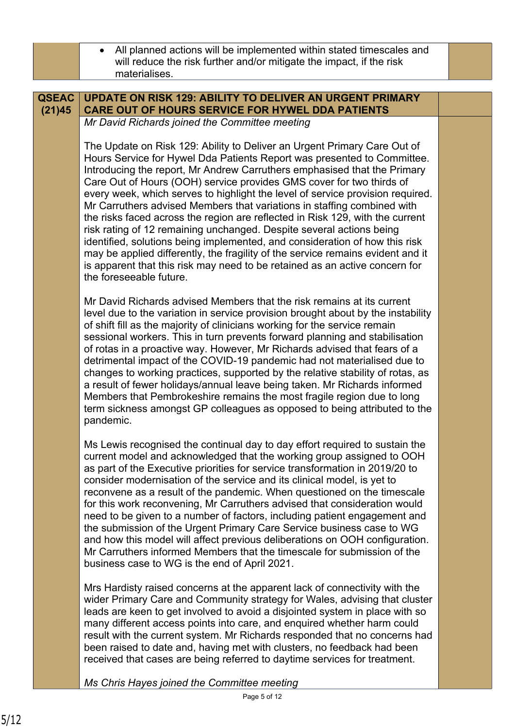|              | All planned actions will be implemented within stated timescales and<br>will reduce the risk further and/or mitigate the impact, if the risk<br>materialises.                                                                                                                                                                                                                                                                                                                                                                                                                                                                                                                                                                                                                                                                                                                                             |  |
|--------------|-----------------------------------------------------------------------------------------------------------------------------------------------------------------------------------------------------------------------------------------------------------------------------------------------------------------------------------------------------------------------------------------------------------------------------------------------------------------------------------------------------------------------------------------------------------------------------------------------------------------------------------------------------------------------------------------------------------------------------------------------------------------------------------------------------------------------------------------------------------------------------------------------------------|--|
|              |                                                                                                                                                                                                                                                                                                                                                                                                                                                                                                                                                                                                                                                                                                                                                                                                                                                                                                           |  |
| <b>QSEAC</b> | <b>UPDATE ON RISK 129: ABILITY TO DELIVER AN URGENT PRIMARY</b>                                                                                                                                                                                                                                                                                                                                                                                                                                                                                                                                                                                                                                                                                                                                                                                                                                           |  |
| (21)45       | <b>CARE OUT OF HOURS SERVICE FOR HYWEL DDA PATIENTS</b>                                                                                                                                                                                                                                                                                                                                                                                                                                                                                                                                                                                                                                                                                                                                                                                                                                                   |  |
|              | Mr David Richards joined the Committee meeting                                                                                                                                                                                                                                                                                                                                                                                                                                                                                                                                                                                                                                                                                                                                                                                                                                                            |  |
|              |                                                                                                                                                                                                                                                                                                                                                                                                                                                                                                                                                                                                                                                                                                                                                                                                                                                                                                           |  |
|              | The Update on Risk 129: Ability to Deliver an Urgent Primary Care Out of<br>Hours Service for Hywel Dda Patients Report was presented to Committee.<br>Introducing the report, Mr Andrew Carruthers emphasised that the Primary<br>Care Out of Hours (OOH) service provides GMS cover for two thirds of<br>every week, which serves to highlight the level of service provision required.<br>Mr Carruthers advised Members that variations in staffing combined with<br>the risks faced across the region are reflected in Risk 129, with the current<br>risk rating of 12 remaining unchanged. Despite several actions being<br>identified, solutions being implemented, and consideration of how this risk<br>may be applied differently, the fragility of the service remains evident and it<br>is apparent that this risk may need to be retained as an active concern for<br>the foreseeable future. |  |
|              | Mr David Richards advised Members that the risk remains at its current<br>level due to the variation in service provision brought about by the instability<br>of shift fill as the majority of clinicians working for the service remain<br>sessional workers. This in turn prevents forward planning and stabilisation<br>of rotas in a proactive way. However, Mr Richards advised that fears of a<br>detrimental impact of the COVID-19 pandemic had not materialised due to<br>changes to working practices, supported by the relative stability of rotas, as<br>a result of fewer holidays/annual leave being taken. Mr Richards informed<br>Members that Pembrokeshire remains the most fragile region due to long<br>term sickness amongst GP colleagues as opposed to being attributed to the<br>pandemic.                                                                                        |  |
|              | Ms Lewis recognised the continual day to day effort required to sustain the<br>current model and acknowledged that the working group assigned to OOH<br>as part of the Executive priorities for service transformation in 2019/20 to<br>consider modernisation of the service and its clinical model, is yet to<br>reconvene as a result of the pandemic. When questioned on the timescale<br>for this work reconvening, Mr Carruthers advised that consideration would<br>need to be given to a number of factors, including patient engagement and<br>the submission of the Urgent Primary Care Service business case to WG<br>and how this model will affect previous deliberations on OOH configuration.<br>Mr Carruthers informed Members that the timescale for submission of the<br>business case to WG is the end of April 2021.                                                                  |  |
|              | Mrs Hardisty raised concerns at the apparent lack of connectivity with the<br>wider Primary Care and Community strategy for Wales, advising that cluster<br>leads are keen to get involved to avoid a disjointed system in place with so<br>many different access points into care, and enquired whether harm could<br>result with the current system. Mr Richards responded that no concerns had<br>been raised to date and, having met with clusters, no feedback had been<br>received that cases are being referred to daytime services for treatment.                                                                                                                                                                                                                                                                                                                                                 |  |
|              | Ms Chris Hayes joined the Committee meeting                                                                                                                                                                                                                                                                                                                                                                                                                                                                                                                                                                                                                                                                                                                                                                                                                                                               |  |
|              | Page 5 of 12                                                                                                                                                                                                                                                                                                                                                                                                                                                                                                                                                                                                                                                                                                                                                                                                                                                                                              |  |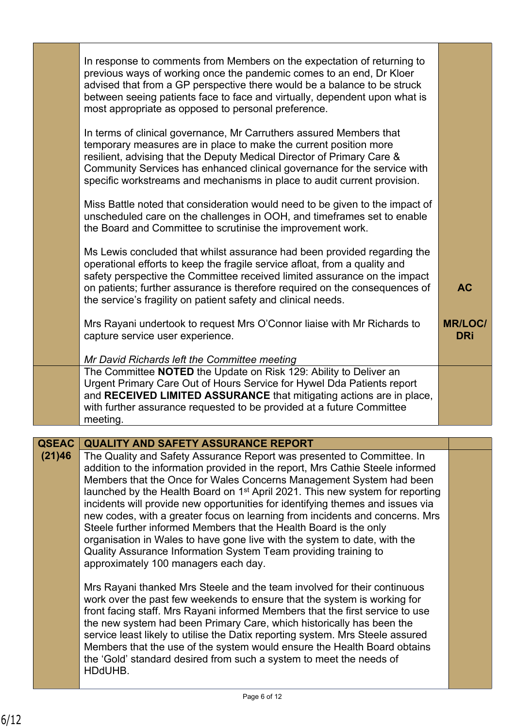|              | In response to comments from Members on the expectation of returning to<br>previous ways of working once the pandemic comes to an end, Dr Kloer<br>advised that from a GP perspective there would be a balance to be struck<br>between seeing patients face to face and virtually, dependent upon what is<br>most appropriate as opposed to personal preference.<br>In terms of clinical governance, Mr Carruthers assured Members that<br>temporary measures are in place to make the current position more<br>resilient, advising that the Deputy Medical Director of Primary Care &<br>Community Services has enhanced clinical governance for the service with<br>specific workstreams and mechanisms in place to audit current provision.<br>Miss Battle noted that consideration would need to be given to the impact of<br>unscheduled care on the challenges in OOH, and timeframes set to enable |                             |
|--------------|-----------------------------------------------------------------------------------------------------------------------------------------------------------------------------------------------------------------------------------------------------------------------------------------------------------------------------------------------------------------------------------------------------------------------------------------------------------------------------------------------------------------------------------------------------------------------------------------------------------------------------------------------------------------------------------------------------------------------------------------------------------------------------------------------------------------------------------------------------------------------------------------------------------|-----------------------------|
|              | the Board and Committee to scrutinise the improvement work.<br>Ms Lewis concluded that whilst assurance had been provided regarding the<br>operational efforts to keep the fragile service afloat, from a quality and<br>safety perspective the Committee received limited assurance on the impact<br>on patients; further assurance is therefore required on the consequences of<br>the service's fragility on patient safety and clinical needs.<br>Mrs Rayani undertook to request Mrs O'Connor liaise with Mr Richards to                                                                                                                                                                                                                                                                                                                                                                             | <b>AC</b><br><b>MR/LOC/</b> |
|              | capture service user experience.<br>Mr David Richards left the Committee meeting                                                                                                                                                                                                                                                                                                                                                                                                                                                                                                                                                                                                                                                                                                                                                                                                                          | <b>DRi</b>                  |
|              | The Committee NOTED the Update on Risk 129: Ability to Deliver an<br>Urgent Primary Care Out of Hours Service for Hywel Dda Patients report<br>and RECEIVED LIMITED ASSURANCE that mitigating actions are in place,<br>with further assurance requested to be provided at a future Committee<br>meeting.                                                                                                                                                                                                                                                                                                                                                                                                                                                                                                                                                                                                  |                             |
| <b>QSEAC</b> | <b>QUALITY AND SAFETY ASSURANCE REPORT</b>                                                                                                                                                                                                                                                                                                                                                                                                                                                                                                                                                                                                                                                                                                                                                                                                                                                                |                             |
| (21)46       | The Quality and Safety Assurance Report was presented to Committee. In<br>addition to the information provided in the report, Mrs Cathie Steele informed<br>Members that the Once for Wales Concerns Management System had been<br>launched by the Health Board on 1 <sup>st</sup> April 2021. This new system for reporting<br>incidents will provide new opportunities for identifying themes and issues via<br>new codes, with a greater focus on learning from incidents and concerns. Mrs<br>Steele further informed Members that the Health Board is the only<br>organisation in Wales to have gone live with the system to date, with the<br>Quality Assurance Information System Team providing training to<br>approximately 100 managers each day.<br>Mrs Rayani thanked Mrs Steele and the team involved for their continuous                                                                   |                             |
|              | work over the past few weekends to ensure that the system is working for<br>front facing staff. Mrs Rayani informed Members that the first service to use<br>the new system had been Primary Care, which historically has been the<br>service least likely to utilise the Datix reporting system. Mrs Steele assured<br>Members that the use of the system would ensure the Health Board obtains<br>the 'Gold' standard desired from such a system to meet the needs of<br>HDdUHB.                                                                                                                                                                                                                                                                                                                                                                                                                        |                             |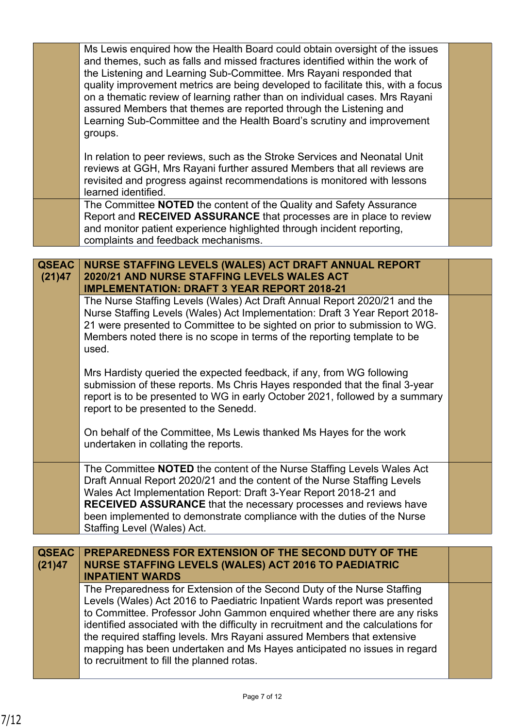|              | Ms Lewis enquired how the Health Board could obtain oversight of the issues<br>and themes, such as falls and missed fractures identified within the work of<br>the Listening and Learning Sub-Committee. Mrs Rayani responded that<br>quality improvement metrics are being developed to facilitate this, with a focus<br>on a thematic review of learning rather than on individual cases. Mrs Rayani<br>assured Members that themes are reported through the Listening and<br>Learning Sub-Committee and the Health Board's scrutiny and improvement<br>groups. |  |
|--------------|-------------------------------------------------------------------------------------------------------------------------------------------------------------------------------------------------------------------------------------------------------------------------------------------------------------------------------------------------------------------------------------------------------------------------------------------------------------------------------------------------------------------------------------------------------------------|--|
|              | In relation to peer reviews, such as the Stroke Services and Neonatal Unit<br>reviews at GGH, Mrs Rayani further assured Members that all reviews are<br>revisited and progress against recommendations is monitored with lessons<br>learned identified.                                                                                                                                                                                                                                                                                                          |  |
|              | The Committee <b>NOTED</b> the content of the Quality and Safety Assurance<br>Report and RECEIVED ASSURANCE that processes are in place to review<br>and monitor patient experience highlighted through incident reporting,<br>complaints and feedback mechanisms.                                                                                                                                                                                                                                                                                                |  |
| <b>QSEAC</b> | NURSE STAFFING LEVELS (WALES) ACT DRAFT ANNUAL REPORT                                                                                                                                                                                                                                                                                                                                                                                                                                                                                                             |  |
| (21)47       | 2020/21 AND NURSE STAFFING LEVELS WALES ACT<br><b>IMPLEMENTATION: DRAFT 3 YEAR REPORT 2018-21</b>                                                                                                                                                                                                                                                                                                                                                                                                                                                                 |  |
|              | The Nurse Staffing Levels (Wales) Act Draft Annual Report 2020/21 and the<br>Nurse Staffing Levels (Wales) Act Implementation: Draft 3 Year Report 2018-<br>21 were presented to Committee to be sighted on prior to submission to WG.<br>Members noted there is no scope in terms of the reporting template to be<br>used.                                                                                                                                                                                                                                       |  |
|              | Mrs Hardisty queried the expected feedback, if any, from WG following<br>submission of these reports. Ms Chris Hayes responded that the final 3-year<br>report is to be presented to WG in early October 2021, followed by a summary<br>report to be presented to the Senedd.                                                                                                                                                                                                                                                                                     |  |
|              | On behalf of the Committee, Ms Lewis thanked Ms Hayes for the work<br>undertaken in collating the reports.                                                                                                                                                                                                                                                                                                                                                                                                                                                        |  |
|              | The Committee <b>NOTED</b> the content of the Nurse Staffing Levels Wales Act<br>Draft Annual Report 2020/21 and the content of the Nurse Staffing Levels<br>Wales Act Implementation Report: Draft 3-Year Report 2018-21 and<br><b>RECEIVED ASSURANCE</b> that the necessary processes and reviews have<br>been implemented to demonstrate compliance with the duties of the Nurse<br>Staffing Level (Wales) Act.                                                                                                                                                |  |
| <b>QSEAC</b> | PREPAREDNESS FOR EXTENSION OF THE SECOND DUTY OF THE                                                                                                                                                                                                                                                                                                                                                                                                                                                                                                              |  |
| (21)47       | <b>NURSE STAFFING LEVELS (WALES) ACT 2016 TO PAEDIATRIC</b><br><b>INPATIENT WARDS</b>                                                                                                                                                                                                                                                                                                                                                                                                                                                                             |  |
|              | The Preparedness for Extension of the Second Duty of the Nurse Staffing<br>Levels (Wales) Act 2016 to Paediatric Inpatient Wards report was presented<br>to Committee. Professor John Gammon enquired whether there are any risks<br>identified associated with the difficulty in recruitment and the calculations for<br>the required staffing levels. Mrs Rayani assured Members that extensive<br>mapping has been undertaken and Ms Hayes anticipated no issues in regard<br>to recruitment to fill the planned rotas.                                        |  |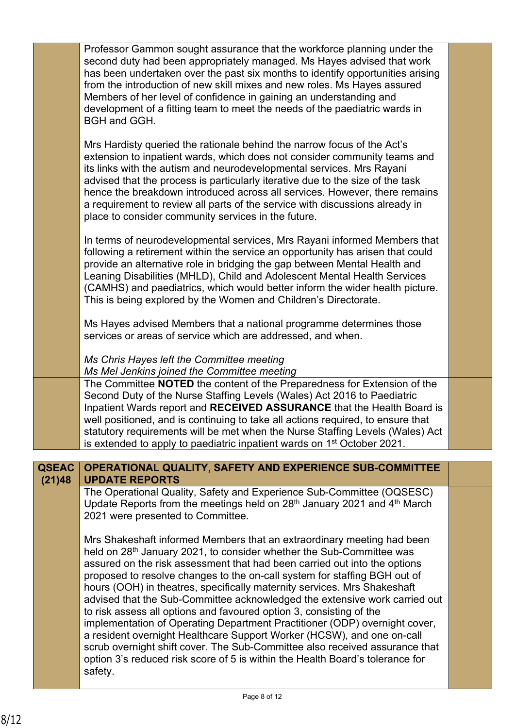|                        | Professor Gammon sought assurance that the workforce planning under the<br>second duty had been appropriately managed. Ms Hayes advised that work<br>has been undertaken over the past six months to identify opportunities arising<br>from the introduction of new skill mixes and new roles. Ms Hayes assured<br>Members of her level of confidence in gaining an understanding and<br>development of a fitting team to meet the needs of the paediatric wards in<br>BGH and GGH.                                                                                                                                                                                                                                                                                                                                                                                                      |  |
|------------------------|------------------------------------------------------------------------------------------------------------------------------------------------------------------------------------------------------------------------------------------------------------------------------------------------------------------------------------------------------------------------------------------------------------------------------------------------------------------------------------------------------------------------------------------------------------------------------------------------------------------------------------------------------------------------------------------------------------------------------------------------------------------------------------------------------------------------------------------------------------------------------------------|--|
|                        | Mrs Hardisty queried the rationale behind the narrow focus of the Act's<br>extension to inpatient wards, which does not consider community teams and<br>its links with the autism and neurodevelopmental services. Mrs Rayani<br>advised that the process is particularly iterative due to the size of the task<br>hence the breakdown introduced across all services. However, there remains<br>a requirement to review all parts of the service with discussions already in<br>place to consider community services in the future.                                                                                                                                                                                                                                                                                                                                                     |  |
|                        | In terms of neurodevelopmental services, Mrs Rayani informed Members that<br>following a retirement within the service an opportunity has arisen that could<br>provide an alternative role in bridging the gap between Mental Health and<br>Leaning Disabilities (MHLD), Child and Adolescent Mental Health Services<br>(CAMHS) and paediatrics, which would better inform the wider health picture.<br>This is being explored by the Women and Children's Directorate.                                                                                                                                                                                                                                                                                                                                                                                                                  |  |
|                        | Ms Hayes advised Members that a national programme determines those<br>services or areas of service which are addressed, and when.                                                                                                                                                                                                                                                                                                                                                                                                                                                                                                                                                                                                                                                                                                                                                       |  |
|                        | Ms Chris Hayes left the Committee meeting<br>Ms Mel Jenkins joined the Committee meeting                                                                                                                                                                                                                                                                                                                                                                                                                                                                                                                                                                                                                                                                                                                                                                                                 |  |
|                        | The Committee NOTED the content of the Preparedness for Extension of the<br>Second Duty of the Nurse Staffing Levels (Wales) Act 2016 to Paediatric<br>Inpatient Wards report and RECEIVED ASSURANCE that the Health Board is<br>well positioned, and is continuing to take all actions required, to ensure that<br>statutory requirements will be met when the Nurse Staffing Levels (Wales) Act<br>is extended to apply to paediatric inpatient wards on 1 <sup>st</sup> October 2021.                                                                                                                                                                                                                                                                                                                                                                                                 |  |
| <b>QSEAC</b><br>(21)48 | OPERATIONAL QUALITY, SAFETY AND EXPERIENCE SUB-COMMITTEE<br><b>UPDATE REPORTS</b>                                                                                                                                                                                                                                                                                                                                                                                                                                                                                                                                                                                                                                                                                                                                                                                                        |  |
|                        | The Operational Quality, Safety and Experience Sub-Committee (OQSESC)<br>Update Reports from the meetings held on $28th$ January 2021 and $4th$ March<br>2021 were presented to Committee.                                                                                                                                                                                                                                                                                                                                                                                                                                                                                                                                                                                                                                                                                               |  |
|                        | Mrs Shakeshaft informed Members that an extraordinary meeting had been<br>held on 28 <sup>th</sup> January 2021, to consider whether the Sub-Committee was<br>assured on the risk assessment that had been carried out into the options<br>proposed to resolve changes to the on-call system for staffing BGH out of<br>hours (OOH) in theatres, specifically maternity services. Mrs Shakeshaft<br>advised that the Sub-Committee acknowledged the extensive work carried out<br>to risk assess all options and favoured option 3, consisting of the<br>implementation of Operating Department Practitioner (ODP) overnight cover,<br>a resident overnight Healthcare Support Worker (HCSW), and one on-call<br>scrub overnight shift cover. The Sub-Committee also received assurance that<br>option 3's reduced risk score of 5 is within the Health Board's tolerance for<br>safety. |  |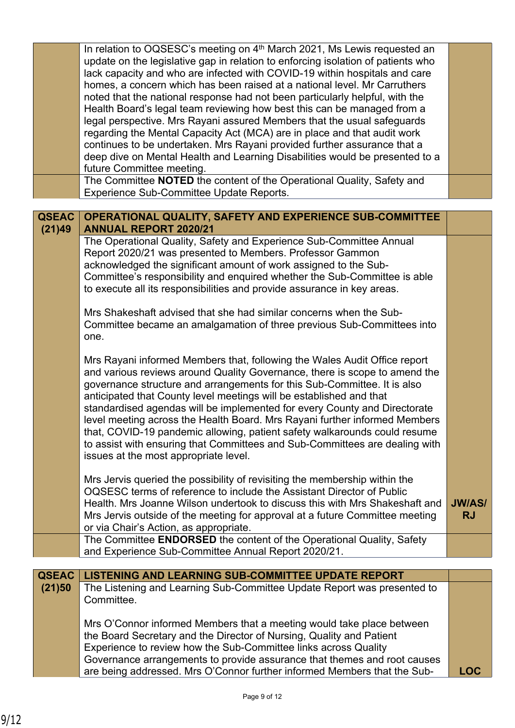|              | In relation to OQSESC's meeting on 4 <sup>th</sup> March 2021, Ms Lewis requested an<br>update on the legislative gap in relation to enforcing isolation of patients who<br>lack capacity and who are infected with COVID-19 within hospitals and care<br>homes, a concern which has been raised at a national level. Mr Carruthers |               |
|--------------|-------------------------------------------------------------------------------------------------------------------------------------------------------------------------------------------------------------------------------------------------------------------------------------------------------------------------------------|---------------|
|              | noted that the national response had not been particularly helpful, with the                                                                                                                                                                                                                                                        |               |
|              | Health Board's legal team reviewing how best this can be managed from a                                                                                                                                                                                                                                                             |               |
|              | legal perspective. Mrs Rayani assured Members that the usual safeguards<br>regarding the Mental Capacity Act (MCA) are in place and that audit work                                                                                                                                                                                 |               |
|              | continues to be undertaken. Mrs Rayani provided further assurance that a                                                                                                                                                                                                                                                            |               |
|              | deep dive on Mental Health and Learning Disabilities would be presented to a                                                                                                                                                                                                                                                        |               |
|              | future Committee meeting.                                                                                                                                                                                                                                                                                                           |               |
|              | The Committee NOTED the content of the Operational Quality, Safety and                                                                                                                                                                                                                                                              |               |
|              | <b>Experience Sub-Committee Update Reports.</b>                                                                                                                                                                                                                                                                                     |               |
| <b>QSEAC</b> | OPERATIONAL QUALITY, SAFETY AND EXPERIENCE SUB-COMMITTEE                                                                                                                                                                                                                                                                            |               |
| (21)49       | <b>ANNUAL REPORT 2020/21</b>                                                                                                                                                                                                                                                                                                        |               |
|              | The Operational Quality, Safety and Experience Sub-Committee Annual                                                                                                                                                                                                                                                                 |               |
|              | Report 2020/21 was presented to Members. Professor Gammon                                                                                                                                                                                                                                                                           |               |
|              | acknowledged the significant amount of work assigned to the Sub-<br>Committee's responsibility and enquired whether the Sub-Committee is able                                                                                                                                                                                       |               |
|              | to execute all its responsibilities and provide assurance in key areas.                                                                                                                                                                                                                                                             |               |
|              |                                                                                                                                                                                                                                                                                                                                     |               |
|              | Mrs Shakeshaft advised that she had similar concerns when the Sub-                                                                                                                                                                                                                                                                  |               |
|              | Committee became an amalgamation of three previous Sub-Committees into                                                                                                                                                                                                                                                              |               |
|              | one.                                                                                                                                                                                                                                                                                                                                |               |
|              | Mrs Rayani informed Members that, following the Wales Audit Office report                                                                                                                                                                                                                                                           |               |
|              | and various reviews around Quality Governance, there is scope to amend the                                                                                                                                                                                                                                                          |               |
|              | governance structure and arrangements for this Sub-Committee. It is also                                                                                                                                                                                                                                                            |               |
|              | anticipated that County level meetings will be established and that                                                                                                                                                                                                                                                                 |               |
|              | standardised agendas will be implemented for every County and Directorate                                                                                                                                                                                                                                                           |               |
|              | level meeting across the Health Board. Mrs Rayani further informed Members<br>that, COVID-19 pandemic allowing, patient safety walkarounds could resume                                                                                                                                                                             |               |
|              | to assist with ensuring that Committees and Sub-Committees are dealing with                                                                                                                                                                                                                                                         |               |
|              | issues at the most appropriate level.                                                                                                                                                                                                                                                                                               |               |
|              |                                                                                                                                                                                                                                                                                                                                     |               |
|              | Mrs Jervis queried the possibility of revisiting the membership within the                                                                                                                                                                                                                                                          |               |
|              | OQSESC terms of reference to include the Assistant Director of Public<br>Health. Mrs Joanne Wilson undertook to discuss this with Mrs Shakeshaft and                                                                                                                                                                                | <b>JW/AS/</b> |
|              | Mrs Jervis outside of the meeting for approval at a future Committee meeting                                                                                                                                                                                                                                                        | <b>RJ</b>     |
|              | or via Chair's Action, as appropriate.                                                                                                                                                                                                                                                                                              |               |
|              | The Committee <b>ENDORSED</b> the content of the Operational Quality, Safety                                                                                                                                                                                                                                                        |               |
|              | and Experience Sub-Committee Annual Report 2020/21.                                                                                                                                                                                                                                                                                 |               |
| <b>QSEAC</b> | <b>LISTENING AND LEARNING SUB-COMMITTEE UPDATE REPORT</b>                                                                                                                                                                                                                                                                           |               |
| (21)50       | The Listening and Learning Sub-Committee Update Report was presented to                                                                                                                                                                                                                                                             |               |
|              | Committee.                                                                                                                                                                                                                                                                                                                          |               |
|              |                                                                                                                                                                                                                                                                                                                                     |               |
|              | Mrs O'Connor informed Members that a meeting would take place between                                                                                                                                                                                                                                                               |               |
|              | the Board Secretary and the Director of Nursing, Quality and Patient                                                                                                                                                                                                                                                                |               |
|              | Experience to review how the Sub-Committee links across Quality<br>Governance arrangements to provide assurance that themes and root causes                                                                                                                                                                                         |               |
|              | are being addressed. Mrs O'Connor further informed Members that the Sub-                                                                                                                                                                                                                                                            | <b>LOC</b>    |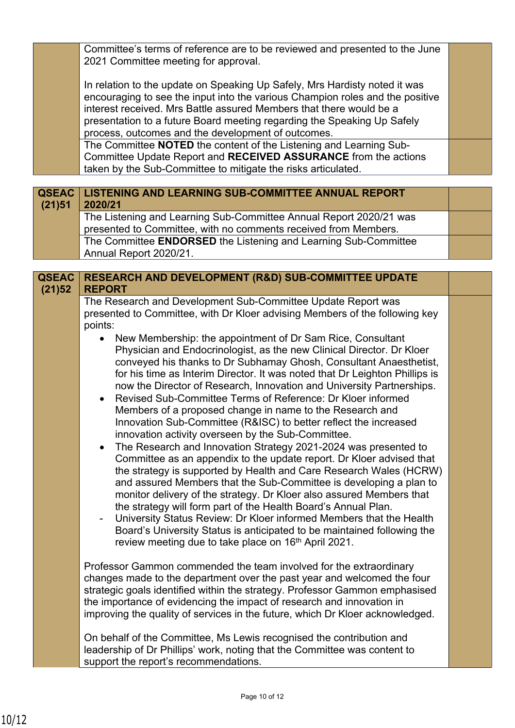Committee's terms of reference are to be reviewed and presented to the June 2021 Committee meeting for approval.

In relation to the update on Speaking Up Safely, Mrs Hardisty noted it was encouraging to see the input into the various Champion roles and the positive interest received. Mrs Battle assured Members that there would be a presentation to a future Board meeting regarding the Speaking Up Safely process, outcomes and the development of outcomes.

The Committee **NOTED** the content of the Listening and Learning Sub-Committee Update Report and **RECEIVED ASSURANCE** from the actions taken by the Sub-Committee to mitigate the risks articulated.

| (21)51 | QSEAC   LISTENING AND LEARNING SUB-COMMITTEE ANNUAL REPORT<br>2020/21                                                                 |  |
|--------|---------------------------------------------------------------------------------------------------------------------------------------|--|
|        | The Listening and Learning Sub-Committee Annual Report 2020/21 was<br>presented to Committee, with no comments received from Members. |  |
|        | The Committee ENDORSED the Listening and Learning Sub-Committee<br>Annual Report 2020/21.                                             |  |

| <b>QSEAC</b><br>(21)52 | <b>RESEARCH AND DEVELOPMENT (R&amp;D) SUB-COMMITTEE UPDATE</b><br><b>REPORT</b>                                                                                                                                                                                                                                                                                                                                                                                                                                                                                                                                                                                                                                                                                                                                                                                                                                                                                                                                                                                                                                                                                                                                                                                                                         |  |
|------------------------|---------------------------------------------------------------------------------------------------------------------------------------------------------------------------------------------------------------------------------------------------------------------------------------------------------------------------------------------------------------------------------------------------------------------------------------------------------------------------------------------------------------------------------------------------------------------------------------------------------------------------------------------------------------------------------------------------------------------------------------------------------------------------------------------------------------------------------------------------------------------------------------------------------------------------------------------------------------------------------------------------------------------------------------------------------------------------------------------------------------------------------------------------------------------------------------------------------------------------------------------------------------------------------------------------------|--|
|                        | The Research and Development Sub-Committee Update Report was<br>presented to Committee, with Dr Kloer advising Members of the following key<br>points:                                                                                                                                                                                                                                                                                                                                                                                                                                                                                                                                                                                                                                                                                                                                                                                                                                                                                                                                                                                                                                                                                                                                                  |  |
|                        | New Membership: the appointment of Dr Sam Rice, Consultant<br>Physician and Endocrinologist, as the new Clinical Director. Dr Kloer<br>conveyed his thanks to Dr Subhamay Ghosh, Consultant Anaesthetist,<br>for his time as Interim Director. It was noted that Dr Leighton Phillips is<br>now the Director of Research, Innovation and University Partnerships.<br>Revised Sub-Committee Terms of Reference: Dr Kloer informed<br>$\bullet$<br>Members of a proposed change in name to the Research and<br>Innovation Sub-Committee (R&ISC) to better reflect the increased<br>innovation activity overseen by the Sub-Committee.<br>The Research and Innovation Strategy 2021-2024 was presented to<br>$\bullet$<br>Committee as an appendix to the update report. Dr Kloer advised that<br>the strategy is supported by Health and Care Research Wales (HCRW)<br>and assured Members that the Sub-Committee is developing a plan to<br>monitor delivery of the strategy. Dr Kloer also assured Members that<br>the strategy will form part of the Health Board's Annual Plan.<br>University Status Review: Dr Kloer informed Members that the Health<br>Board's University Status is anticipated to be maintained following the<br>review meeting due to take place on 16 <sup>th</sup> April 2021. |  |
|                        | Professor Gammon commended the team involved for the extraordinary<br>changes made to the department over the past year and welcomed the four<br>strategic goals identified within the strategy. Professor Gammon emphasised<br>the importance of evidencing the impact of research and innovation in<br>improving the quality of services in the future, which Dr Kloer acknowledged.                                                                                                                                                                                                                                                                                                                                                                                                                                                                                                                                                                                                                                                                                                                                                                                                                                                                                                                  |  |
|                        | On behalf of the Committee, Ms Lewis recognised the contribution and<br>leadership of Dr Phillips' work, noting that the Committee was content to<br>support the report's recommendations.                                                                                                                                                                                                                                                                                                                                                                                                                                                                                                                                                                                                                                                                                                                                                                                                                                                                                                                                                                                                                                                                                                              |  |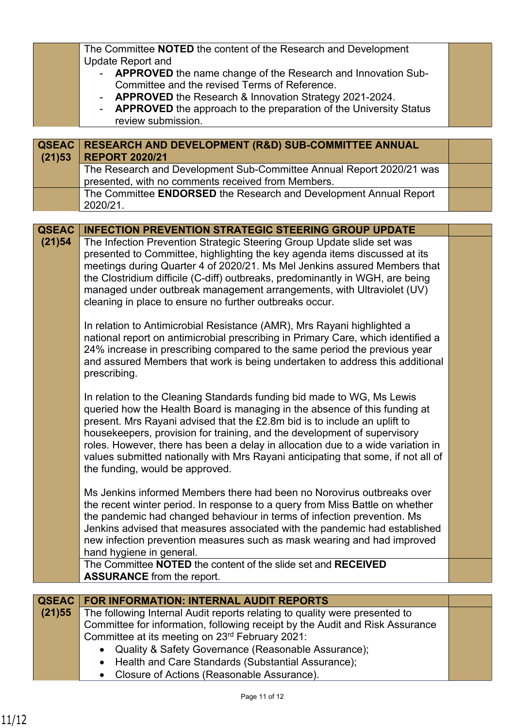|                        | The Committee NOTED the content of the Research and Development<br><b>Update Report and</b><br>APPROVED the name change of the Research and Innovation Sub-<br>Committee and the revised Terms of Reference.                                                                                                                                                                                                                                                                                                             |  |  |
|------------------------|--------------------------------------------------------------------------------------------------------------------------------------------------------------------------------------------------------------------------------------------------------------------------------------------------------------------------------------------------------------------------------------------------------------------------------------------------------------------------------------------------------------------------|--|--|
|                        | APPROVED the Research & Innovation Strategy 2021-2024.<br><b>APPROVED</b> the approach to the preparation of the University Status<br>review submission.                                                                                                                                                                                                                                                                                                                                                                 |  |  |
| <b>QSEAC</b><br>(21)53 | <b>RESEARCH AND DEVELOPMENT (R&amp;D) SUB-COMMITTEE ANNUAL</b><br><b>REPORT 2020/21</b>                                                                                                                                                                                                                                                                                                                                                                                                                                  |  |  |
|                        | The Research and Development Sub-Committee Annual Report 2020/21 was<br>presented, with no comments received from Members.                                                                                                                                                                                                                                                                                                                                                                                               |  |  |
|                        | The Committee ENDORSED the Research and Development Annual Report<br>2020/21.                                                                                                                                                                                                                                                                                                                                                                                                                                            |  |  |
|                        |                                                                                                                                                                                                                                                                                                                                                                                                                                                                                                                          |  |  |
| <b>QSEAC</b>           | <b>INFECTION PREVENTION STRATEGIC STEERING GROUP UPDATE</b>                                                                                                                                                                                                                                                                                                                                                                                                                                                              |  |  |
| (21)54                 | The Infection Prevention Strategic Steering Group Update slide set was<br>presented to Committee, highlighting the key agenda items discussed at its<br>meetings during Quarter 4 of 2020/21. Ms Mel Jenkins assured Members that<br>the Clostridium difficile (C-diff) outbreaks, predominantly in WGH, are being<br>managed under outbreak management arrangements, with Ultraviolet (UV)<br>cleaning in place to ensure no further outbreaks occur.                                                                   |  |  |
|                        | In relation to Antimicrobial Resistance (AMR), Mrs Rayani highlighted a<br>national report on antimicrobial prescribing in Primary Care, which identified a<br>24% increase in prescribing compared to the same period the previous year<br>and assured Members that work is being undertaken to address this additional<br>prescribing.                                                                                                                                                                                 |  |  |
|                        | In relation to the Cleaning Standards funding bid made to WG, Ms Lewis<br>queried how the Health Board is managing in the absence of this funding at<br>present. Mrs Rayani advised that the £2.8m bid is to include an uplift to<br>housekeepers, provision for training, and the development of supervisory<br>roles. However, there has been a delay in allocation due to a wide variation in<br>values submitted nationally with Mrs Rayani anticipating that some, if not all of<br>the funding, would be approved. |  |  |
|                        | Ms Jenkins informed Members there had been no Norovirus outbreaks over<br>the recent winter period. In response to a query from Miss Battle on whether<br>the pandemic had changed behaviour in terms of infection prevention. Ms<br>Jenkins advised that measures associated with the pandemic had established<br>new infection prevention measures such as mask wearing and had improved<br>hand hygiene in general.<br>The Committee NOTED the content of the slide set and RECEIVED                                  |  |  |
|                        | <b>ASSURANCE</b> from the report.                                                                                                                                                                                                                                                                                                                                                                                                                                                                                        |  |  |
|                        |                                                                                                                                                                                                                                                                                                                                                                                                                                                                                                                          |  |  |
| QSEAC<br>(21)55        | <b>FOR INFORMATION: INTERNAL AUDIT REPORTS</b><br>The following Internal Audit reports relating to quality were presented to                                                                                                                                                                                                                                                                                                                                                                                             |  |  |
|                        | Committee for information, following receipt by the Audit and Risk Assurance<br>Committee at its meeting on 23rd February 2021:                                                                                                                                                                                                                                                                                                                                                                                          |  |  |

- Quality & Safety Governance (Reasonable Assurance);
- Health and Care Standards (Substantial Assurance);
- Closure of Actions (Reasonable Assurance).